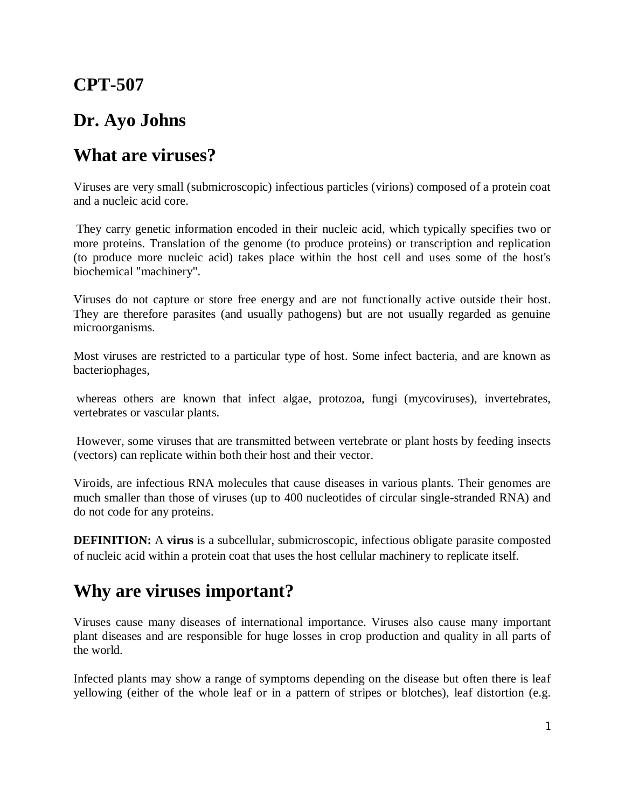## **CPT-507**

## **Dr. Ayo Johns**

## **What are viruses?**

Viruses are very small (submicroscopic) infectious particles (virions) composed of a protein coat and a nucleic acid core.

They carry genetic information encoded in their nucleic acid, which typically specifies two or more proteins. Translation of the genome (to produce proteins) or transcription and replication (to produce more nucleic acid) takes place within the host cell and uses some of the host's biochemical "machinery".

Viruses do not capture or store free energy and are not functionally active outside their host. They are therefore parasites (and usually pathogens) but are not usually regarded as genuine microorganisms.

Most viruses are restricted to a particular type of host. Some infect bacteria, and are known as bacteriophages,

whereas others are known that infect algae, protozoa, fungi (mycoviruses), invertebrates, vertebrates or vascular plants.

However, some viruses that are transmitted between vertebrate or plant hosts by feeding insects (vectors) can replicate within both their host and their vector.

Viroids, are infectious RNA molecules that cause diseases in various plants. Their genomes are much smaller than those of viruses (up to 400 nucleotides of circular single-stranded RNA) and do not code for any proteins.

**DEFINITION:** A **virus** is a subcellular, submicroscopic, infectious obligate parasite composted of nucleic acid within a protein coat that uses the host cellular machinery to replicate itself.

## **Why are viruses important?**

Viruses cause many diseases of international importance. Viruses also cause many important plant diseases and are responsible for huge losses in crop production and quality in all parts of the world.

Infected plants may show a range of symptoms depending on the disease but often there is leaf yellowing (either of the whole leaf or in a pattern of stripes or blotches), leaf distortion (e.g.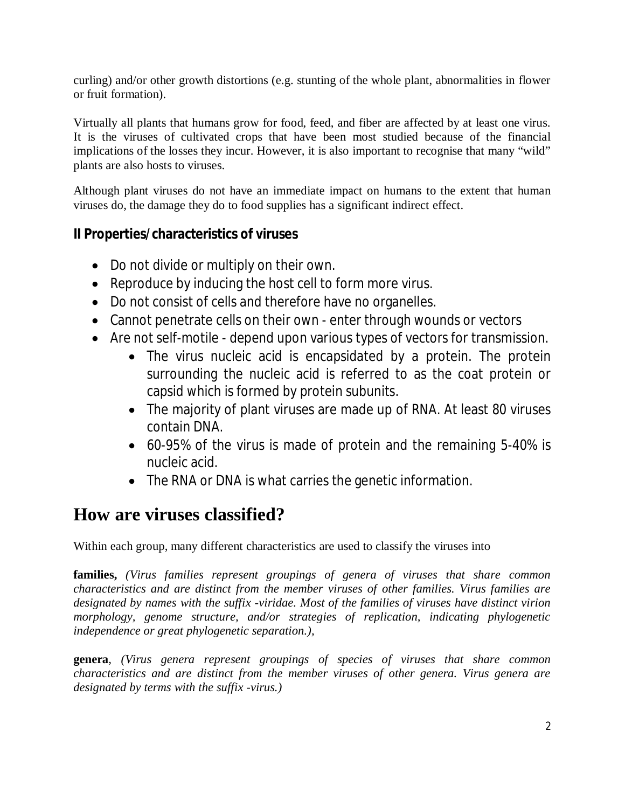curling) and/or other growth distortions (e.g. stunting of the whole plant, abnormalities in flower or fruit formation).

Virtually all plants that humans grow for food, feed, and fiber are affected by at least one virus. It is the viruses of cultivated crops that have been most studied because of the financial implications of the losses they incur. However, it is also important to recognise that many "wild" plants are also hosts to viruses.

Although plant viruses do not have an immediate impact on humans to the extent that human viruses do, the damage they do to food supplies has a significant indirect effect.

## **II Properties/characteristics of viruses**

- Do not divide or multiply on their own.
- Reproduce by inducing the host cell to form more virus.
- Do not consist of cells and therefore have no organelles.
- Cannot penetrate cells on their own enter through wounds or vectors
- Are not self-motile depend upon various types of vectors for transmission.
	- The virus nucleic acid is encapsidated by a protein. The protein surrounding the nucleic acid is referred to as the coat protein or capsid which is formed by protein subunits.
	- The majority of plant viruses are made up of RNA. At least 80 viruses contain DNA.
	- 60-95% of the virus is made of protein and the remaining 5-40% is nucleic acid.
	- The RNA or DNA is what carries the genetic information.

# **How are viruses classified?**

Within each group, many different characteristics are used to classify the viruses into

**families,** *(Virus families represent groupings of genera of viruses that share common characteristics and are distinct from the member viruses of other families. Virus families are designated by names with the suffix -viridae. Most of the families of viruses have distinct virion morphology, genome structure, and/or strategies of replication, indicating phylogenetic independence or great phylogenetic separation.),*

**genera**, *(Virus genera represent groupings of species of viruses that share common characteristics and are distinct from the member viruses of other genera. Virus genera are designated by terms with the suffix -virus.)*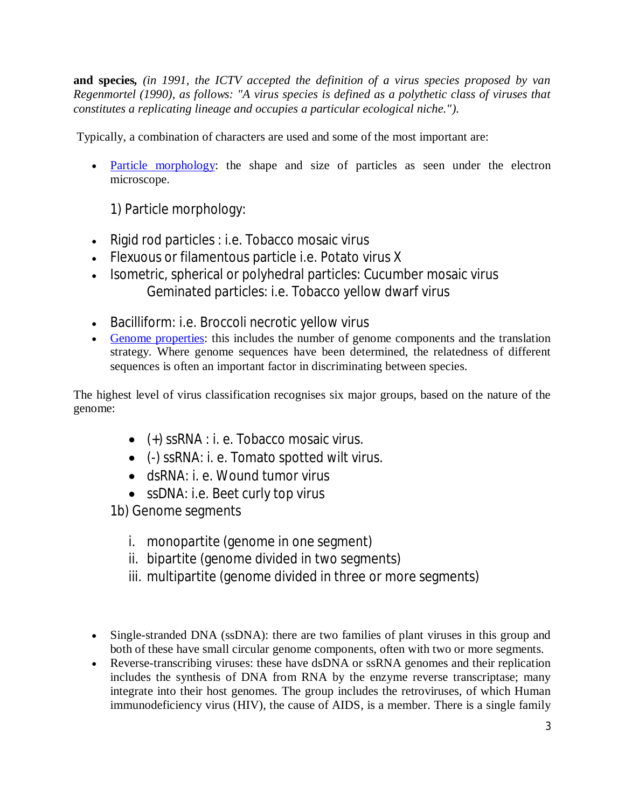**and species***, (in 1991, the ICTV accepted the definition of a virus species proposed by van Regenmortel (1990), as follows: "A virus species is defined as a polythetic class of viruses that constitutes a replicating lineage and occupies a particular ecological niche.").*

Typically, a combination of characters are used and some of the most important are:

• Particle morphology: the shape and size of particles as seen under the electron microscope.

1) Particle morphology:

- Rigid rod particles : i.e. Tobacco mosaic virus
- Flexuous or filamentous particle i.e. Potato virus X
- Isometric, spherical or polyhedral particles: Cucumber mosaic virus Geminated particles: i.e. Tobacco yellow dwarf virus
- Bacilliform: i.e. Broccoli necrotic yellow virus
- Genome properties: this includes the number of genome components and the translation strategy. Where genome sequences have been determined, the relatedness of different sequences is often an important factor in discriminating between species.

The highest level of virus classification recognises six major groups, based on the nature of the genome:

- (+) ssRNA : i. e. Tobacco mosaic virus.
- (-) ssRNA: i. e. Tomato spotted wilt virus.
- dsRNA: i. e. Wound tumor virus
- ssDNA: i.e. Beet curly top virus

1b) Genome segments

- i. monopartite (genome in one segment)
- ii. bipartite (genome divided in two segments)
- iii. multipartite (genome divided in three or more segments)
- Single-stranded DNA (ssDNA): there are two families of plant viruses in this group and both of these have small circular genome components, often with two or more segments.
- Reverse-transcribing viruses: these have dsDNA or ssRNA genomes and their replication includes the synthesis of DNA from RNA by the enzyme reverse transcriptase; many integrate into their host genomes. The group includes the retroviruses, of which Human immunodeficiency virus (HIV), the cause of AIDS, is a member. There is a single family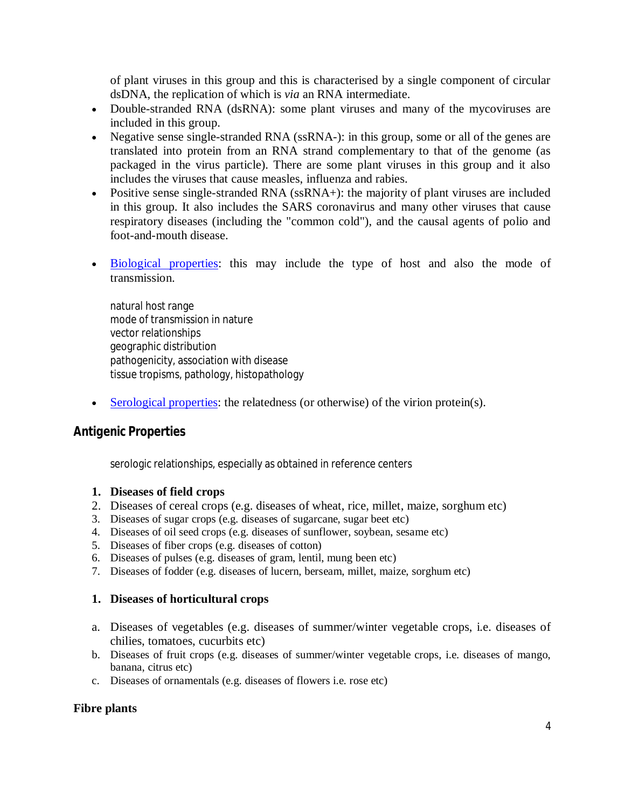of plant viruses in this group and this is characterised by a single component of circular dsDNA, the replication of which is *via* an RNA intermediate.

- Double-stranded RNA (dsRNA): some plant viruses and many of the mycoviruses are included in this group.
- Negative sense single-stranded RNA (ssRNA-): in this group, some or all of the genes are translated into protein from an RNA strand complementary to that of the genome (as packaged in the virus particle). There are some plant viruses in this group and it also includes the viruses that cause measles, influenza and rabies.
- Positive sense single-stranded RNA (ssRNA+): the majority of plant viruses are included in this group. It also includes the SARS coronavirus and many other viruses that cause respiratory diseases (including the "common cold"), and the causal agents of polio and foot-and-mouth disease.
- Biological properties: this may include the type of host and also the mode of transmission.

natural host range mode of transmission in nature vector relationships geographic distribution pathogenicity, association with disease tissue tropisms, pathology, histopathology

Serological properties: the relatedness (or otherwise) of the virion protein(s).

### *Antigenic Properties*

serologic relationships, especially as obtained in reference centers

#### **1. Diseases of field crops**

- 2. Diseases of cereal crops (e.g. diseases of wheat, rice, millet, maize, sorghum etc)
- 3. Diseases of sugar crops (e.g. diseases of sugarcane, sugar beet etc)
- 4. Diseases of oil seed crops (e.g. diseases of sunflower, soybean, sesame etc)
- 5. Diseases of fiber crops (e.g. diseases of cotton)
- 6. Diseases of pulses (e.g. diseases of gram, lentil, mung been etc)
- 7. Diseases of fodder (e.g. diseases of lucern, berseam, millet, maize, sorghum etc)

#### **1. Diseases of horticultural crops**

- a. Diseases of vegetables (e.g. diseases of summer/winter vegetable crops, i.e. diseases of chilies, tomatoes, cucurbits etc)
- b. Diseases of fruit crops (e.g. diseases of summer/winter vegetable crops, i.e. diseases of mango, banana, citrus etc)
- c. Diseases of ornamentals (e.g. diseases of flowers i.e. rose etc)

#### **Fibre plants**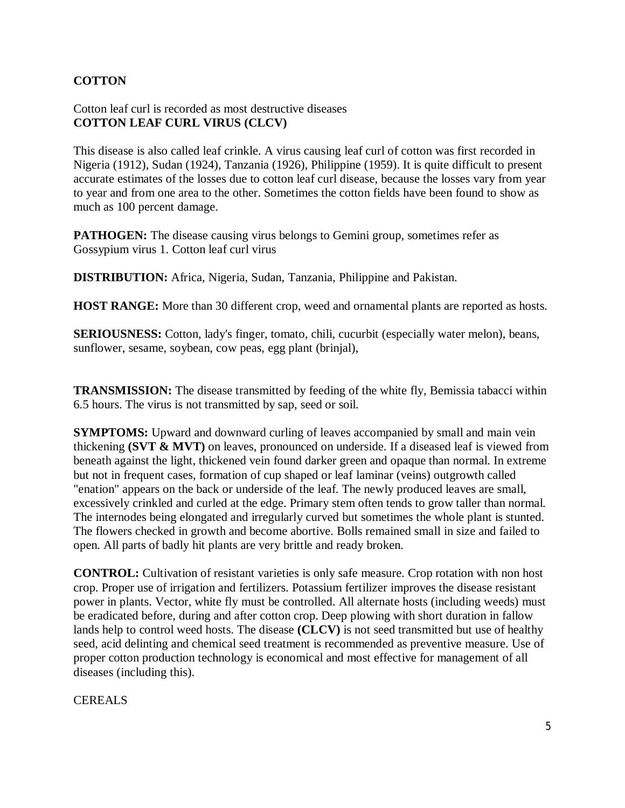### **COTTON**

#### Cotton leaf curl is recorded as most destructive diseases **COTTON LEAF CURL VIRUS (CLCV)**

This disease is also called leaf crinkle. A virus causing leaf curl of cotton was first recorded in Nigeria (1912), Sudan (1924), Tanzania (1926), Philippine (1959). It is quite difficult to present accurate estimates of the losses due to cotton leaf curl disease, because the losses vary from year to year and from one area to the other. Sometimes the cotton fields have been found to show as much as 100 percent damage.

**PATHOGEN:** The disease causing virus belongs to Gemini group, sometimes refer as Gossypium virus 1. Cotton leaf curl virus

**DISTRIBUTION:** Africa, Nigeria, Sudan, Tanzania, Philippine and Pakistan.

**HOST RANGE:** More than 30 different crop, weed and ornamental plants are reported as hosts.

**SERIOUSNESS:** Cotton, lady's finger, tomato, chili, cucurbit (especially water melon), beans, sunflower, sesame, soybean, cow peas, egg plant (brinjal),

**TRANSMISSION:** The disease transmitted by feeding of the white fly, Bemissia tabacci within 6.5 hours. The virus is not transmitted by sap, seed or soil.

**SYMPTOMS:** Upward and downward curling of leaves accompanied by small and main vein thickening **(SVT & MVT)** on leaves, pronounced on underside. If a diseased leaf is viewed from beneath against the light, thickened vein found darker green and opaque than normal. In extreme but not in frequent cases, formation of cup shaped or leaf laminar (veins) outgrowth called "enation" appears on the back or underside of the leaf. The newly produced leaves are small, excessively crinkled and curled at the edge. Primary stem often tends to grow taller than normal. The internodes being elongated and irregularly curved but sometimes the whole plant is stunted. The flowers checked in growth and become abortive. Bolls remained small in size and failed to open. All parts of badly hit plants are very brittle and ready broken.

**CONTROL:** Cultivation of resistant varieties is only safe measure. Crop rotation with non host crop. Proper use of irrigation and fertilizers. Potassium fertilizer improves the disease resistant power in plants. Vector, white fly must be controlled. All alternate hosts (including weeds) must be eradicated before, during and after cotton crop. Deep plowing with short duration in fallow lands help to control weed hosts. The disease **(CLCV)** is not seed transmitted but use of healthy seed, acid delinting and chemical seed treatment is recommended as preventive measure. Use of proper cotton production technology is economical and most effective for management of all diseases (including this).

#### CEREALS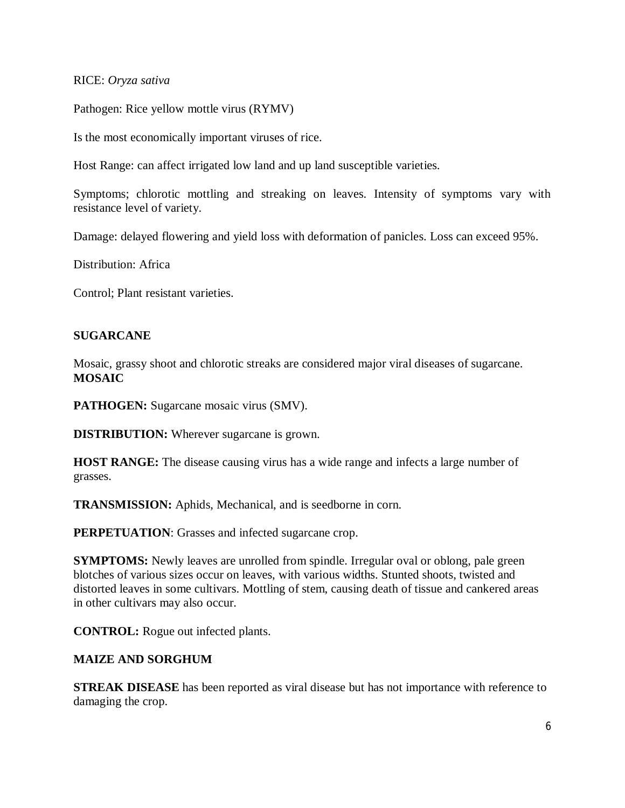#### RICE: *Oryza sativa*

Pathogen: Rice yellow mottle virus (RYMV)

Is the most economically important viruses of rice.

Host Range: can affect irrigated low land and up land susceptible varieties.

Symptoms; chlorotic mottling and streaking on leaves. Intensity of symptoms vary with resistance level of variety.

Damage: delayed flowering and yield loss with deformation of panicles. Loss can exceed 95%.

Distribution: Africa

Control; Plant resistant varieties.

#### **SUGARCANE**

Mosaic, grassy shoot and chlorotic streaks are considered major viral diseases of sugarcane. **MOSAIC**

**PATHOGEN:** Sugarcane mosaic virus (SMV).

**DISTRIBUTION:** Wherever sugarcane is grown.

**HOST RANGE:** The disease causing virus has a wide range and infects a large number of grasses.

**TRANSMISSION:** Aphids, Mechanical, and is seedborne in corn.

**PERPETUATION:** Grasses and infected sugarcane crop.

**SYMPTOMS:** Newly leaves are unrolled from spindle. Irregular oval or oblong, pale green blotches of various sizes occur on leaves, with various widths. Stunted shoots, twisted and distorted leaves in some cultivars. Mottling of stem, causing death of tissue and cankered areas in other cultivars may also occur.

**CONTROL:** Rogue out infected plants.

#### **MAIZE AND SORGHUM**

**STREAK DISEASE** has been reported as viral disease but has not importance with reference to damaging the crop.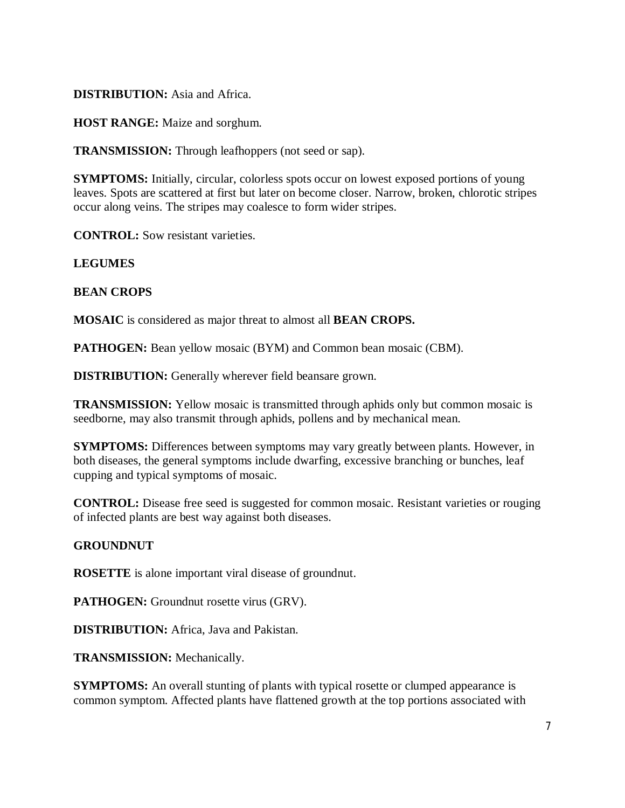#### **DISTRIBUTION:** Asia and Africa.

**HOST RANGE:** Maize and sorghum.

**TRANSMISSION:** Through leafhoppers (not seed or sap).

**SYMPTOMS:** Initially, circular, colorless spots occur on lowest exposed portions of young leaves. Spots are scattered at first but later on become closer. Narrow, broken, chlorotic stripes occur along veins. The stripes may coalesce to form wider stripes.

**CONTROL:** Sow resistant varieties.

#### **LEGUMES**

#### **BEAN CROPS**

**MOSAIC** is considered as major threat to almost all **BEAN CROPS.**

**PATHOGEN:** Bean yellow mosaic (BYM) and Common bean mosaic (CBM).

**DISTRIBUTION:** Generally wherever field beansare grown.

**TRANSMISSION:** Yellow mosaic is transmitted through aphids only but common mosaic is seedborne, may also transmit through aphids, pollens and by mechanical mean.

**SYMPTOMS:** Differences between symptoms may vary greatly between plants. However, in both diseases, the general symptoms include dwarfing, excessive branching or bunches, leaf cupping and typical symptoms of mosaic.

**CONTROL:** Disease free seed is suggested for common mosaic. Resistant varieties or rouging of infected plants are best way against both diseases.

#### **GROUNDNUT**

**ROSETTE** is alone important viral disease of groundnut.

**PATHOGEN:** Groundnut rosette virus (GRV).

**DISTRIBUTION:** Africa, Java and Pakistan.

**TRANSMISSION:** Mechanically.

**SYMPTOMS:** An overall stunting of plants with typical rosette or clumped appearance is common symptom. Affected plants have flattened growth at the top portions associated with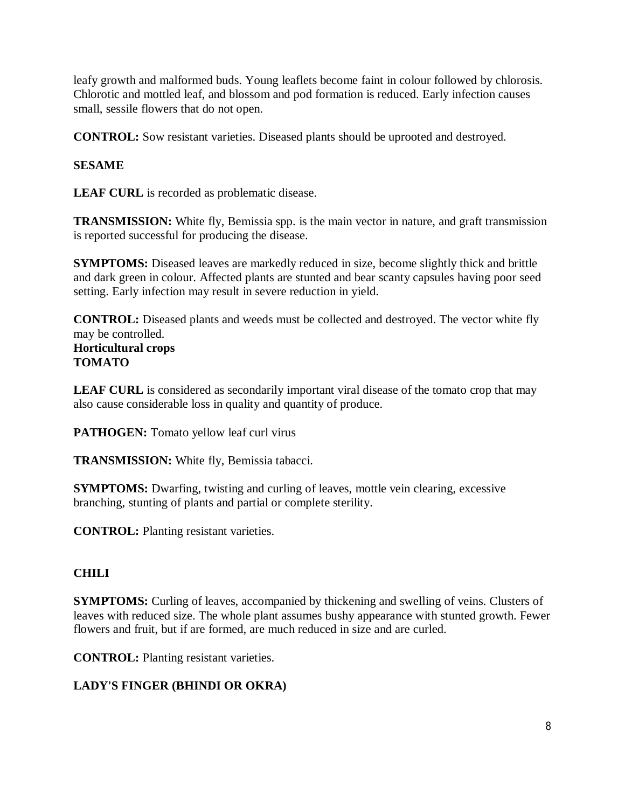leafy growth and malformed buds. Young leaflets become faint in colour followed by chlorosis. Chlorotic and mottled leaf, and blossom and pod formation is reduced. Early infection causes small, sessile flowers that do not open.

**CONTROL:** Sow resistant varieties. Diseased plants should be uprooted and destroyed.

## **SESAME**

**LEAF CURL** is recorded as problematic disease.

**TRANSMISSION:** White fly, Bemissia spp. is the main vector in nature, and graft transmission is reported successful for producing the disease.

**SYMPTOMS:** Diseased leaves are markedly reduced in size, become slightly thick and brittle and dark green in colour. Affected plants are stunted and bear scanty capsules having poor seed setting. Early infection may result in severe reduction in yield.

**CONTROL:** Diseased plants and weeds must be collected and destroyed. The vector white fly may be controlled. **Horticultural crops TOMATO**

**LEAF CURL** is considered as secondarily important viral disease of the tomato crop that may also cause considerable loss in quality and quantity of produce.

**PATHOGEN:** Tomato yellow leaf curl virus

**TRANSMISSION:** White fly, Bemissia tabacci.

**SYMPTOMS:** Dwarfing, twisting and curling of leaves, mottle vein clearing, excessive branching, stunting of plants and partial or complete sterility.

**CONTROL:** Planting resistant varieties.

## **CHILI**

**SYMPTOMS:** Curling of leaves, accompanied by thickening and swelling of veins. Clusters of leaves with reduced size. The whole plant assumes bushy appearance with stunted growth. Fewer flowers and fruit, but if are formed, are much reduced in size and are curled.

**CONTROL:** Planting resistant varieties.

## **LADY'S FINGER (BHINDI OR OKRA)**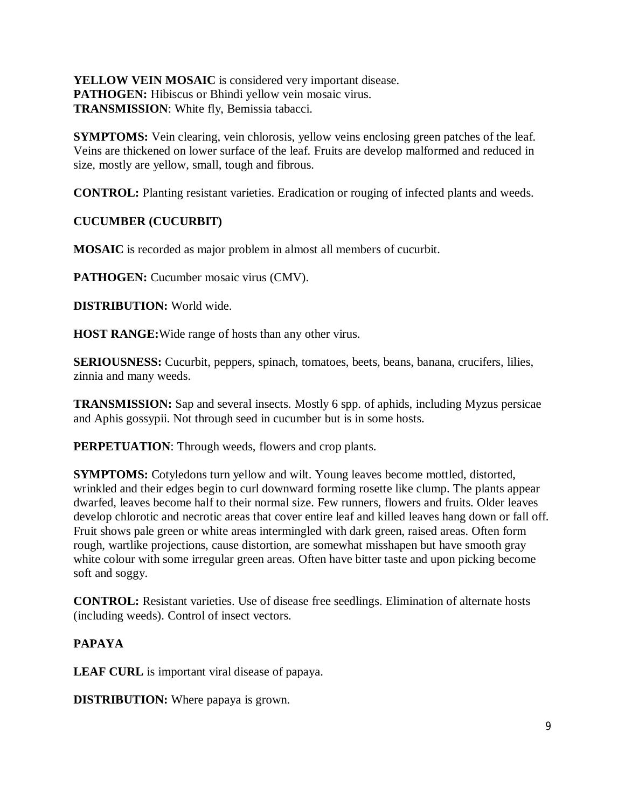**YELLOW VEIN MOSAIC** is considered very important disease. PATHOGEN: Hibiscus or Bhindi yellow vein mosaic virus. **TRANSMISSION**: White fly, Bemissia tabacci.

**SYMPTOMS:** Vein clearing, vein chlorosis, yellow veins enclosing green patches of the leaf. Veins are thickened on lower surface of the leaf. Fruits are develop malformed and reduced in size, mostly are yellow, small, tough and fibrous.

**CONTROL:** Planting resistant varieties. Eradication or rouging of infected plants and weeds.

**CUCUMBER (CUCURBIT)**

**MOSAIC** is recorded as major problem in almost all members of cucurbit.

**PATHOGEN:** Cucumber mosaic virus (CMV).

**DISTRIBUTION:** World wide.

**HOST RANGE:**Wide range of hosts than any other virus.

**SERIOUSNESS:** Cucurbit, peppers, spinach, tomatoes, beets, beans, banana, crucifers, lilies, zinnia and many weeds.

**TRANSMISSION:** Sap and several insects. Mostly 6 spp. of aphids, including Myzus persicae and Aphis gossypii. Not through seed in cucumber but is in some hosts.

**PERPETUATION**: Through weeds, flowers and crop plants.

**SYMPTOMS:** Cotyledons turn yellow and wilt. Young leaves become mottled, distorted, wrinkled and their edges begin to curl downward forming rosette like clump. The plants appear dwarfed, leaves become half to their normal size. Few runners, flowers and fruits. Older leaves develop chlorotic and necrotic areas that cover entire leaf and killed leaves hang down or fall off. Fruit shows pale green or white areas intermingled with dark green, raised areas. Often form rough, wartlike projections, cause distortion, are somewhat misshapen but have smooth gray white colour with some irregular green areas. Often have bitter taste and upon picking become soft and soggy.

**CONTROL:** Resistant varieties. Use of disease free seedlings. Elimination of alternate hosts (including weeds). Control of insect vectors.

## **PAPAYA**

**LEAF CURL** is important viral disease of papaya.

**DISTRIBUTION:** Where papaya is grown.